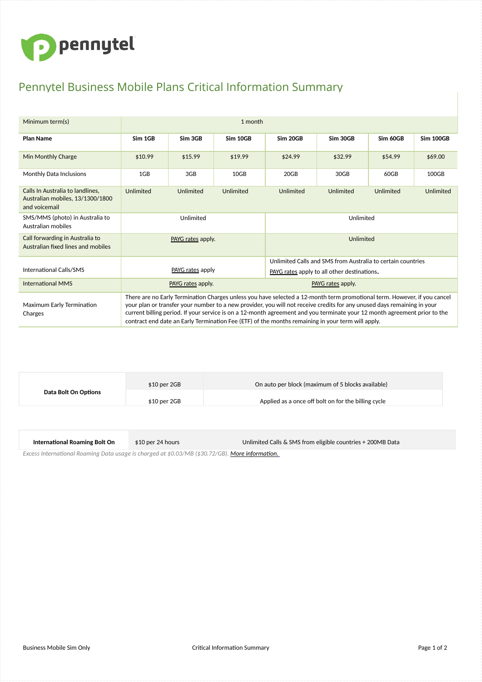

## Pennytel Business Mobile Plans Critical Information Summary

| Minimum term(s)                                                                       | 1 month                                                                                                                                                                                                                                                                                                                                                                                                                                                                               |           |           |                                                             |           |           |                  |
|---------------------------------------------------------------------------------------|---------------------------------------------------------------------------------------------------------------------------------------------------------------------------------------------------------------------------------------------------------------------------------------------------------------------------------------------------------------------------------------------------------------------------------------------------------------------------------------|-----------|-----------|-------------------------------------------------------------|-----------|-----------|------------------|
| <b>Plan Name</b>                                                                      | Sim 1GB                                                                                                                                                                                                                                                                                                                                                                                                                                                                               | Sim 3GB   | Sim 10GB  | Sim 20GB                                                    | Sim 30GB  | Sim 60GB  | <b>Sim 100GB</b> |
| Min Monthly Charge                                                                    | \$10.99                                                                                                                                                                                                                                                                                                                                                                                                                                                                               | \$15.99   | \$19.99   | \$24.99                                                     | \$32.99   | \$54.99   | \$69.00          |
| Monthly Data Inclusions                                                               | 1GB                                                                                                                                                                                                                                                                                                                                                                                                                                                                                   | 3GB       | 10GB      | 20GB                                                        | 30GB      | 60GB      | 100GB            |
| Calls In Australia to landlines.<br>Australian mobiles, 13/1300/1800<br>and voicemail | Unlimited                                                                                                                                                                                                                                                                                                                                                                                                                                                                             | Unlimited | Unlimited | Unlimited                                                   | Unlimited | Unlimited | Unlimited        |
| SMS/MMS (photo) in Australia to<br>Australian mobiles                                 | Unlimited                                                                                                                                                                                                                                                                                                                                                                                                                                                                             |           |           | Unlimited                                                   |           |           |                  |
| Call forwarding in Australia to<br>Australian fixed lines and mobiles                 | PAYG rates apply.                                                                                                                                                                                                                                                                                                                                                                                                                                                                     |           |           | Unlimited                                                   |           |           |                  |
|                                                                                       |                                                                                                                                                                                                                                                                                                                                                                                                                                                                                       |           |           | Unlimited Calls and SMS from Australia to certain countries |           |           |                  |
| <b>International Calls/SMS</b>                                                        | <b>PAYG</b> rates apply                                                                                                                                                                                                                                                                                                                                                                                                                                                               |           |           | PAYG rates apply to all other destinations.                 |           |           |                  |
| <b>International MMS</b>                                                              | PAYG rates apply.                                                                                                                                                                                                                                                                                                                                                                                                                                                                     |           |           | PAYG rates apply.                                           |           |           |                  |
| Maximum Early Termination<br>Charges                                                  | There are no Early Termination Charges unless you have selected a 12-month term promotional term. However, if you cancel<br>your plan or transfer your number to a new provider, you will not receive credits for any unused days remaining in your<br>current billing period. If your service is on a 12-month agreement and you terminate your 12 month agreement prior to the<br>contract end date an Early Termination Fee (ETF) of the months remaining in your term will apply. |           |           |                                                             |           |           |                  |

| Data Bolt On Options | $$10$ per 2GB | On auto per block (maximum of 5 blocks available)   |  |  |  |  |
|----------------------|---------------|-----------------------------------------------------|--|--|--|--|
|                      | \$10 per 2GB  | Applied as a once off bolt on for the billing cycle |  |  |  |  |
|                      |               |                                                     |  |  |  |  |

**International Roaming Bolt On** \$10 per 24 hours Unlimited Calls & SMS from eligible countries + 200MB Data

*Excess International Roaming Data usage is charged at \$0.03/MB (\$30.72/GB). More [information.](https://pennytel.com.au/corporate-roaming-day-pack/)*